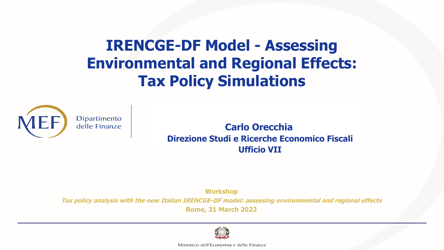**IRENCGE-DF Model - Assessing Environmental and Regional Effects: Tax Policy Simulations** 



**Carlo Orecchia Direzione Studi e Ricerche Economico Fiscali Ufficio VII**

**Workshop**

**Tax policy analysis with the new Italian IRENCGE-DF model: assessing environmental and regional effects** 

**Rome, 31 March 2022**



Ministero dell'Economia e delle Finanze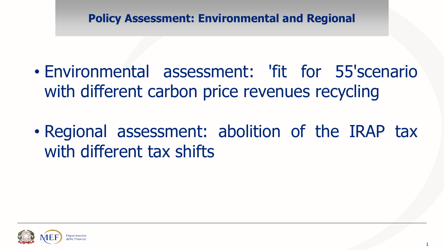**Policy Assessment: Environmental and Regional**

- Environmental assessment: 'fit for 55'scenario with different carbon price revenues recycling
- Regional assessment: abolition of the IRAP tax with different tax shifts

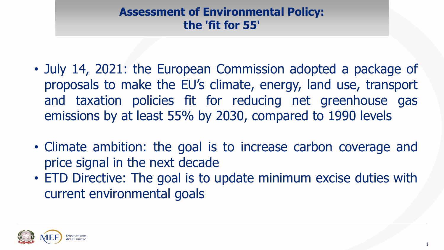# **Assessment of Environmental Policy: the 'fit for 55'**

- July 14, 2021: the European Commission adopted a package of proposals to make the EU's climate, energy, land use, transport and taxation policies fit for reducing net greenhouse gas emissions by at least 55% by 2030, compared to 1990 levels
- Climate ambition: the goal is to increase carbon coverage and price signal in the next decade
- ETD Directive: The goal is to update minimum excise duties with current environmental goals

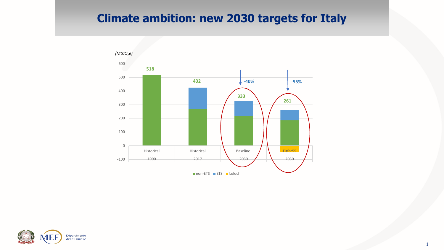#### **Climate ambition: new 2030 targets for Italy**



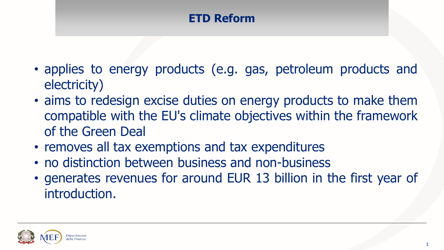# **ETD Reform**

- applies to energy products (e.g. gas, petroleum products and electricity)
- aims to redesign excise duties on energy products to make them compatible with the EU's climate objectives within the framework of the Green Deal
- removes all tax exemptions and tax expenditures
- no distinction between business and non-business
- generates revenues for around EUR 13 billion in the first year of introduction.

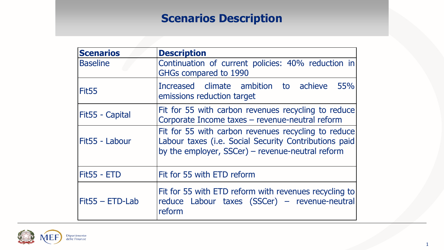# **Scenarios Description**

| <b>Scenarios</b>   | <b>Description</b>                                                                                                                                               |
|--------------------|------------------------------------------------------------------------------------------------------------------------------------------------------------------|
| <b>Baseline</b>    | Continuation of current policies: 40% reduction in<br>GHGs compared to 1990                                                                                      |
| Fit <sub>55</sub>  | Increased climate ambition to achieve 55%<br>emissions reduction target                                                                                          |
| Fit55 - Capital    | Fit for 55 with carbon revenues recycling to reduce<br>Corporate Income taxes - revenue-neutral reform                                                           |
| Fit55 - Labour     | Fit for 55 with carbon revenues recycling to reduce<br>Labour taxes (i.e. Social Security Contributions paid<br>by the employer, SSCer) - revenue-neutral reform |
| <b>Fit55 - ETD</b> | Fit for 55 with ETD reform                                                                                                                                       |
| $Fit55 - ETD-Lab$  | Fit for 55 with ETD reform with revenues recycling to<br>reduce Labour taxes (SSCer) - revenue-neutral<br>reform                                                 |

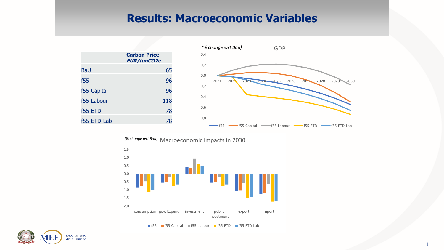#### **Results: Macroeconomic Variables**



Macroeconomic impacts in 2030 *(% change wrt Bau)*



f55 f55-Capital f55-Labour f55-ETD f55-ETD-Lab

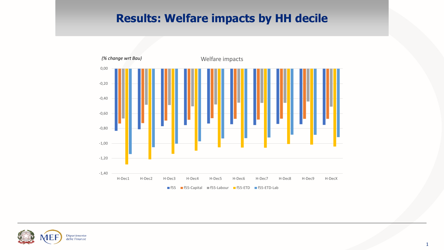## **Results: Welfare impacts by HH decile**



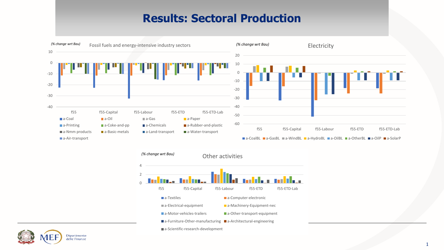#### **Results: Sectoral Production**





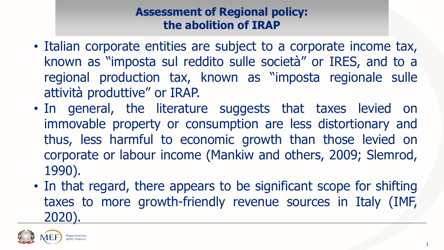# **Assessment of Regional policy: the abolition of IRAP**

- Italian corporate entities are subject to a corporate income tax, known as "imposta sul reddito sulle società" or IRES, and to a regional production tax, known as "imposta regionale sulle attività produttive" or IRAP.
- In general, the literature suggests that taxes levied on immovable property or consumption are less distortionary and thus, less harmful to economic growth than those levied on corporate or labour income (Mankiw and others, 2009; Slemrod, 1990).
- In that regard, there appears to be significant scope for shifting taxes to more growth-friendly revenue sources in Italy (IMF, 2020).

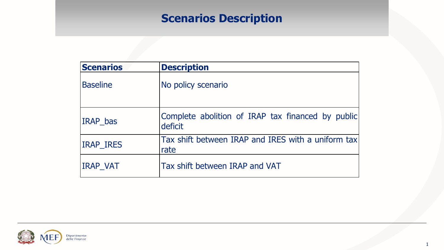# **Scenarios Description**

| <b>Scenarios</b> | <b>Description</b>                                           |
|------------------|--------------------------------------------------------------|
| <b>Baseline</b>  | No policy scenario                                           |
| <b>IRAP</b> bas  | Complete abolition of IRAP tax financed by public<br>deficit |
| <b>IRAP IRES</b> | Tax shift between IRAP and IRES with a uniform tax<br>rate   |
| <b>IRAP VAT</b>  | Tax shift between IRAP and VAT                               |

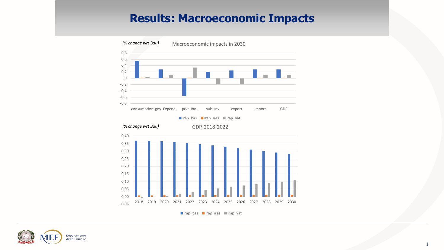#### **Results: Macroeconomic Impacts**



Irap\_bas Irap\_ires Irap\_vat

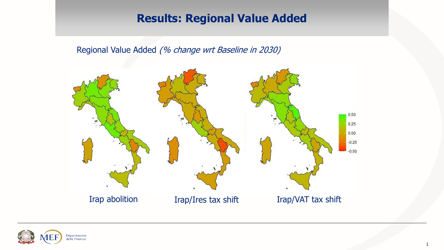### **Results: Regional Value Added**

Regional Value Added (% change wrt Baseline in 2030)



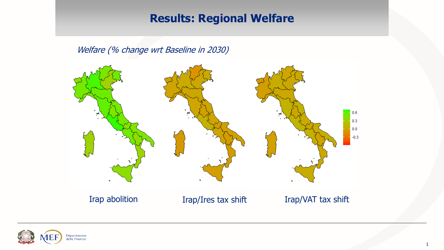## **Results: Regional Welfare**

Welfare (% change wrt Baseline in 2030)